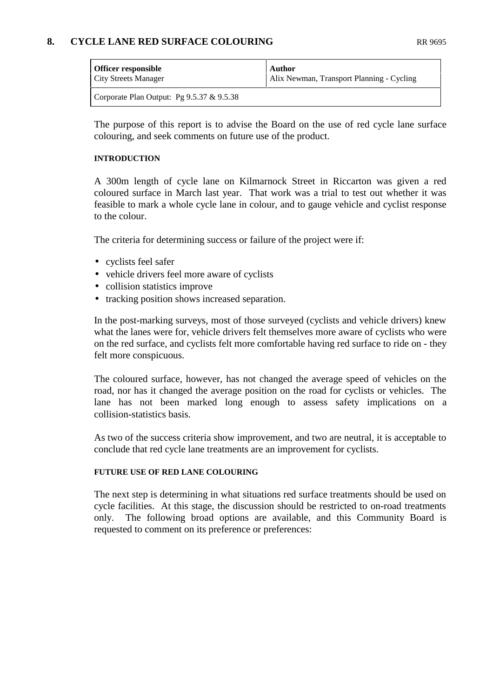## **8. CYCLE LANE RED SURFACE COLOURING** RR 9695

| <b>Officer responsible</b>                   | <b>Author</b>                             |
|----------------------------------------------|-------------------------------------------|
| <b>City Streets Manager</b>                  | Alix Newman, Transport Planning - Cycling |
| Corporate Plan Output: Pg $9.5.37 \& 9.5.38$ |                                           |

The purpose of this report is to advise the Board on the use of red cycle lane surface colouring, and seek comments on future use of the product.

#### **INTRODUCTION**

A 300m length of cycle lane on Kilmarnock Street in Riccarton was given a red coloured surface in March last year. That work was a trial to test out whether it was feasible to mark a whole cycle lane in colour, and to gauge vehicle and cyclist response to the colour.

The criteria for determining success or failure of the project were if:

- cyclists feel safer
- vehicle drivers feel more aware of cyclists
- collision statistics improve
- tracking position shows increased separation.

In the post-marking surveys, most of those surveyed (cyclists and vehicle drivers) knew what the lanes were for, vehicle drivers felt themselves more aware of cyclists who were on the red surface, and cyclists felt more comfortable having red surface to ride on - they felt more conspicuous.

The coloured surface, however, has not changed the average speed of vehicles on the road, nor has it changed the average position on the road for cyclists or vehicles. The lane has not been marked long enough to assess safety implications on a collision-statistics basis.

As two of the success criteria show improvement, and two are neutral, it is acceptable to conclude that red cycle lane treatments are an improvement for cyclists.

#### **FUTURE USE OF RED LANE COLOURING**

The next step is determining in what situations red surface treatments should be used on cycle facilities. At this stage, the discussion should be restricted to on-road treatments only. The following broad options are available, and this Community Board is requested to comment on its preference or preferences: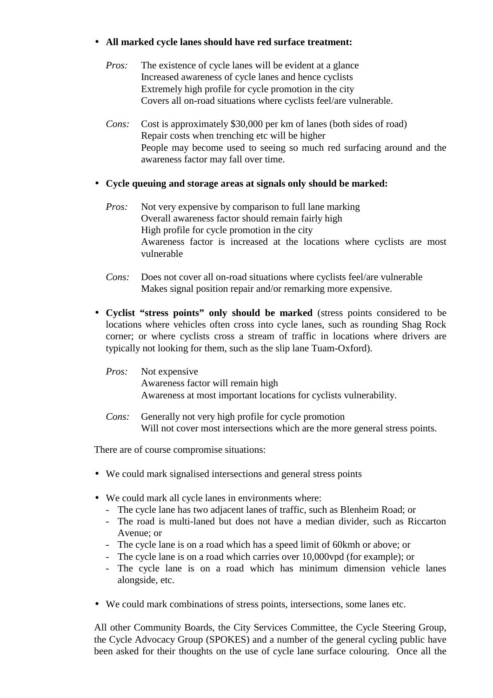## • **All marked cycle lanes should have red surface treatment:**

- *Pros:* The existence of cycle lanes will be evident at a glance Increased awareness of cycle lanes and hence cyclists Extremely high profile for cycle promotion in the city Covers all on-road situations where cyclists feel/are vulnerable.
- *Cons:* Cost is approximately \$30,000 per km of lanes (both sides of road) Repair costs when trenching etc will be higher People may become used to seeing so much red surfacing around and the awareness factor may fall over time.

### • **Cycle queuing and storage areas at signals only should be marked:**

- *Pros:* Not very expensive by comparison to full lane marking Overall awareness factor should remain fairly high High profile for cycle promotion in the city Awareness factor is increased at the locations where cyclists are most vulnerable
- *Cons:* Does not cover all on-road situations where cyclists feel/are vulnerable Makes signal position repair and/or remarking more expensive.
- **Cyclist "stress points" only should be marked** (stress points considered to be locations where vehicles often cross into cycle lanes, such as rounding Shag Rock corner; or where cyclists cross a stream of traffic in locations where drivers are typically not looking for them, such as the slip lane Tuam-Oxford).

# *Pros:* Not expensive Awareness factor will remain high Awareness at most important locations for cyclists vulnerability.

*Cons:* Generally not very high profile for cycle promotion Will not cover most intersections which are the more general stress points.

There are of course compromise situations:

- We could mark signalised intersections and general stress points
- We could mark all cycle lanes in environments where:
	- The cycle lane has two adjacent lanes of traffic, such as Blenheim Road; or
	- The road is multi-laned but does not have a median divider, such as Riccarton Avenue; or
	- The cycle lane is on a road which has a speed limit of 60kmh or above; or
	- The cycle lane is on a road which carries over 10,000vpd (for example); or
	- The cycle lane is on a road which has minimum dimension vehicle lanes alongside, etc.
- We could mark combinations of stress points, intersections, some lanes etc.

All other Community Boards, the City Services Committee, the Cycle Steering Group, the Cycle Advocacy Group (SPOKES) and a number of the general cycling public have been asked for their thoughts on the use of cycle lane surface colouring. Once all the